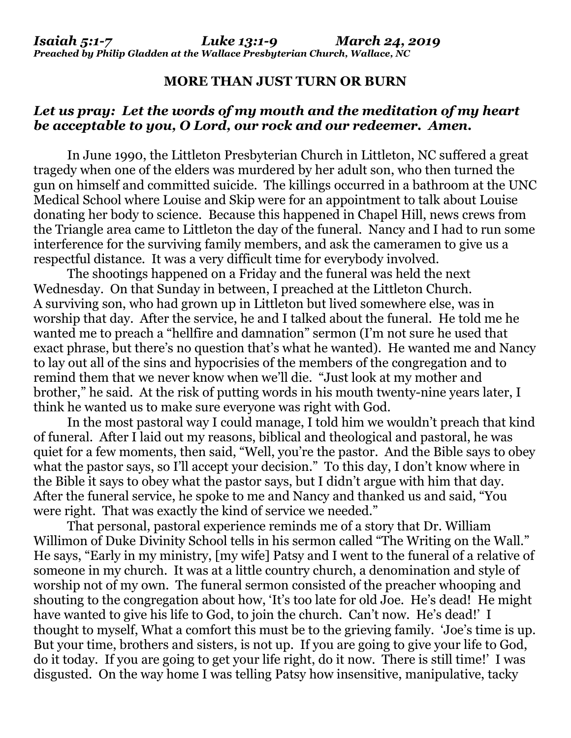*Isaiah 5:1-7 Luke 13:1-9 March 24, 2019 Preached by Philip Gladden at the Wallace Presbyterian Church, Wallace, NC*

## **MORE THAN JUST TURN OR BURN**

## *Let us pray: Let the words of my mouth and the meditation of my heart be acceptable to you, O Lord, our rock and our redeemer. Amen.*

In June 1990, the Littleton Presbyterian Church in Littleton, NC suffered a great tragedy when one of the elders was murdered by her adult son, who then turned the gun on himself and committed suicide. The killings occurred in a bathroom at the UNC Medical School where Louise and Skip were for an appointment to talk about Louise donating her body to science. Because this happened in Chapel Hill, news crews from the Triangle area came to Littleton the day of the funeral. Nancy and I had to run some interference for the surviving family members, and ask the cameramen to give us a respectful distance. It was a very difficult time for everybody involved.

The shootings happened on a Friday and the funeral was held the next Wednesday. On that Sunday in between, I preached at the Littleton Church. A surviving son, who had grown up in Littleton but lived somewhere else, was in worship that day. After the service, he and I talked about the funeral. He told me he wanted me to preach a "hellfire and damnation" sermon (I'm not sure he used that exact phrase, but there's no question that's what he wanted). He wanted me and Nancy to lay out all of the sins and hypocrisies of the members of the congregation and to remind them that we never know when we'll die. "Just look at my mother and brother," he said. At the risk of putting words in his mouth twenty-nine years later, I think he wanted us to make sure everyone was right with God.

In the most pastoral way I could manage, I told him we wouldn't preach that kind of funeral. After I laid out my reasons, biblical and theological and pastoral, he was quiet for a few moments, then said, "Well, you're the pastor. And the Bible says to obey what the pastor says, so I'll accept your decision." To this day, I don't know where in the Bible it says to obey what the pastor says, but I didn't argue with him that day. After the funeral service, he spoke to me and Nancy and thanked us and said, "You were right. That was exactly the kind of service we needed."

That personal, pastoral experience reminds me of a story that Dr. William Willimon of Duke Divinity School tells in his sermon called "The Writing on the Wall." He says, "Early in my ministry, [my wife] Patsy and I went to the funeral of a relative of someone in my church. It was at a little country church, a denomination and style of worship not of my own. The funeral sermon consisted of the preacher whooping and shouting to the congregation about how, 'It's too late for old Joe. He's dead! He might have wanted to give his life to God, to join the church. Can't now. He's dead!' I thought to myself, What a comfort this must be to the grieving family. 'Joe's time is up. But your time, brothers and sisters, is not up. If you are going to give your life to God, do it today. If you are going to get your life right, do it now. There is still time!' I was disgusted. On the way home I was telling Patsy how insensitive, manipulative, tacky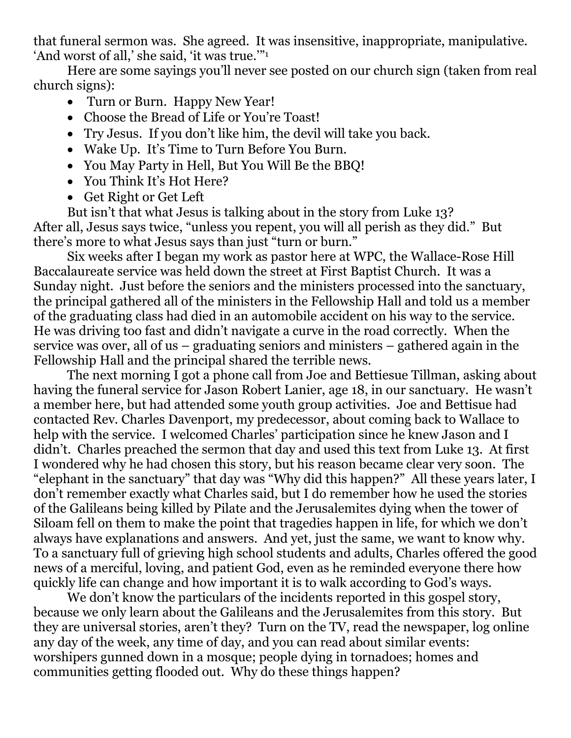that funeral sermon was. She agreed. It was insensitive, inappropriate, manipulative. 'And worst of all,' she said, 'it was true.'"<sup>1</sup>

Here are some sayings you'll never see posted on our church sign (taken from real church signs):

- Turn or Burn. Happy New Year!
- Choose the Bread of Life or You're Toast!
- Try Jesus. If you don't like him, the devil will take you back.
- Wake Up. It's Time to Turn Before You Burn.
- You May Party in Hell, But You Will Be the BBQ!
- You Think It's Hot Here?
- Get Right or Get Left

But isn't that what Jesus is talking about in the story from Luke 13? After all, Jesus says twice, "unless you repent, you will all perish as they did." But there's more to what Jesus says than just "turn or burn."

Six weeks after I began my work as pastor here at WPC, the Wallace-Rose Hill Baccalaureate service was held down the street at First Baptist Church. It was a Sunday night. Just before the seniors and the ministers processed into the sanctuary, the principal gathered all of the ministers in the Fellowship Hall and told us a member of the graduating class had died in an automobile accident on his way to the service. He was driving too fast and didn't navigate a curve in the road correctly. When the service was over, all of us – graduating seniors and ministers – gathered again in the Fellowship Hall and the principal shared the terrible news.

The next morning I got a phone call from Joe and Bettiesue Tillman, asking about having the funeral service for Jason Robert Lanier, age 18, in our sanctuary. He wasn't a member here, but had attended some youth group activities. Joe and Bettisue had contacted Rev. Charles Davenport, my predecessor, about coming back to Wallace to help with the service. I welcomed Charles' participation since he knew Jason and I didn't. Charles preached the sermon that day and used this text from Luke 13. At first I wondered why he had chosen this story, but his reason became clear very soon. The "elephant in the sanctuary" that day was "Why did this happen?" All these years later, I don't remember exactly what Charles said, but I do remember how he used the stories of the Galileans being killed by Pilate and the Jerusalemites dying when the tower of Siloam fell on them to make the point that tragedies happen in life, for which we don't always have explanations and answers. And yet, just the same, we want to know why. To a sanctuary full of grieving high school students and adults, Charles offered the good news of a merciful, loving, and patient God, even as he reminded everyone there how quickly life can change and how important it is to walk according to God's ways.

We don't know the particulars of the incidents reported in this gospel story, because we only learn about the Galileans and the Jerusalemites from this story. But they are universal stories, aren't they? Turn on the TV, read the newspaper, log online any day of the week, any time of day, and you can read about similar events: worshipers gunned down in a mosque; people dying in tornadoes; homes and communities getting flooded out. Why do these things happen?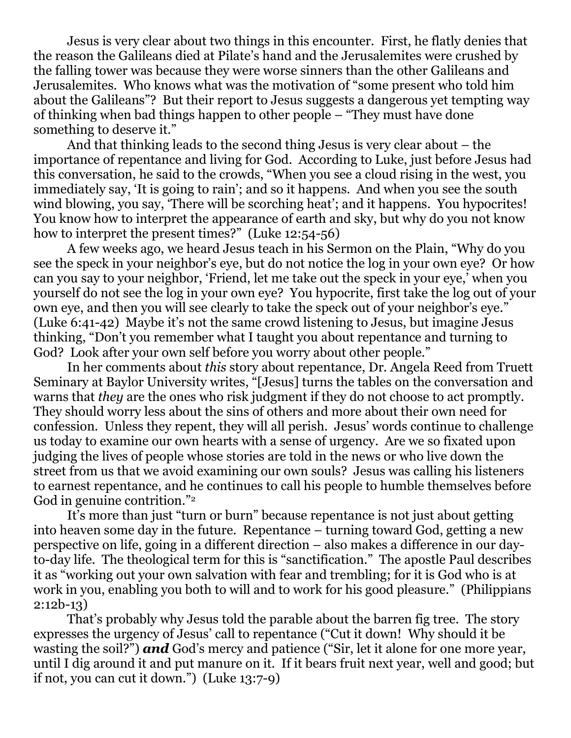Jesus is very clear about two things in this encounter. First, he flatly denies that the reason the Galileans died at Pilate's hand and the Jerusalemites were crushed by the falling tower was because they were worse sinners than the other Galileans and Jerusalemites. Who knows what was the motivation of "some present who told him about the Galileans"? But their report to Jesus suggests a dangerous yet tempting way of thinking when bad things happen to other people – "They must have done something to deserve it."

And that thinking leads to the second thing Jesus is very clear about – the importance of repentance and living for God. According to Luke, just before Jesus had this conversation, he said to the crowds, "When you see a cloud rising in the west, you immediately say, 'It is going to rain'; and so it happens. And when you see the south wind blowing, you say, 'There will be scorching heat'; and it happens. You hypocrites! You know how to interpret the appearance of earth and sky, but why do you not know how to interpret the present times?" (Luke 12:54-56)

A few weeks ago, we heard Jesus teach in his Sermon on the Plain, "Why do you see the speck in your neighbor's eye, but do not notice the log in your own eye? Or how can you say to your neighbor, 'Friend, let me take out the speck in your eye,' when you yourself do not see the log in your own eye? You hypocrite, first take the log out of your own eye, and then you will see clearly to take the speck out of your neighbor's eye." (Luke 6:41-42) Maybe it's not the same crowd listening to Jesus, but imagine Jesus thinking, "Don't you remember what I taught you about repentance and turning to God? Look after your own self before you worry about other people."

In her comments about *this* story about repentance, Dr. Angela Reed from Truett Seminary at Baylor University writes, "[Jesus] turns the tables on the conversation and warns that *they* are the ones who risk judgment if they do not choose to act promptly. They should worry less about the sins of others and more about their own need for confession. Unless they repent, they will all perish. Jesus' words continue to challenge us today to examine our own hearts with a sense of urgency. Are we so fixated upon judging the lives of people whose stories are told in the news or who live down the street from us that we avoid examining our own souls? Jesus was calling his listeners to earnest repentance, and he continues to call his people to humble themselves before God in genuine contrition."<sup>2</sup>

It's more than just "turn or burn" because repentance is not just about getting into heaven some day in the future. Repentance – turning toward God, getting a new perspective on life, going in a different direction – also makes a difference in our dayto-day life. The theological term for this is "sanctification." The apostle Paul describes it as "working out your own salvation with fear and trembling; for it is God who is at work in you, enabling you both to will and to work for his good pleasure." (Philippians 2:12b-13)

That's probably why Jesus told the parable about the barren fig tree. The story expresses the urgency of Jesus' call to repentance ("Cut it down! Why should it be wasting the soil?") **and** God's mercy and patience ("Sir, let it alone for one more year, until I dig around it and put manure on it. If it bears fruit next year, well and good; but if not, you can cut it down.") (Luke 13:7-9)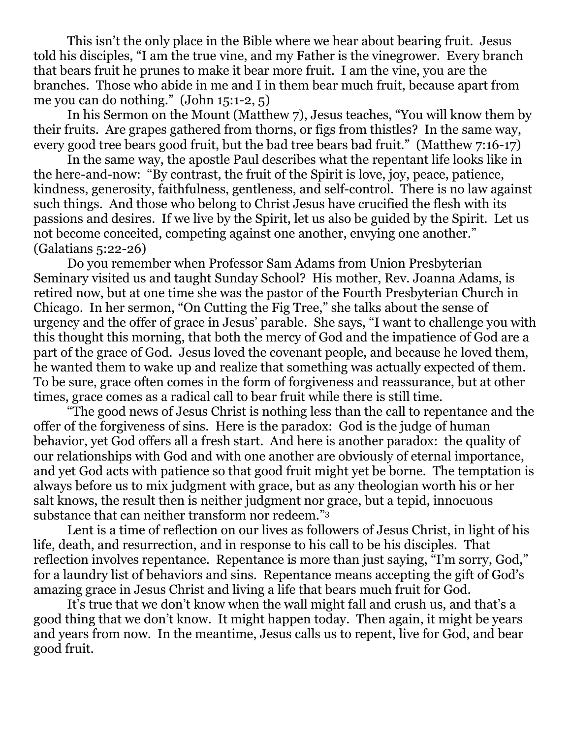This isn't the only place in the Bible where we hear about bearing fruit. Jesus told his disciples, "I am the true vine, and my Father is the vinegrower. Every branch that bears fruit he prunes to make it bear more fruit. I am the vine, you are the branches. Those who abide in me and I in them bear much fruit, because apart from me you can do nothing." (John 15:1-2, 5)

In his Sermon on the Mount (Matthew 7), Jesus teaches, "You will know them by their fruits. Are grapes gathered from thorns, or figs from thistles? In the same way, every good tree bears good fruit, but the bad tree bears bad fruit." (Matthew 7:16-17)

In the same way, the apostle Paul describes what the repentant life looks like in the here-and-now: "By contrast, the fruit of the Spirit is love, joy, peace, patience, kindness, generosity, faithfulness, gentleness, and self-control. There is no law against such things. And those who belong to Christ Jesus have crucified the flesh with its passions and desires. If we live by the Spirit, let us also be guided by the Spirit. Let us not become conceited, competing against one another, envying one another." (Galatians 5:22-26)

Do you remember when Professor Sam Adams from Union Presbyterian Seminary visited us and taught Sunday School? His mother, Rev. Joanna Adams, is retired now, but at one time she was the pastor of the Fourth Presbyterian Church in Chicago. In her sermon, "On Cutting the Fig Tree," she talks about the sense of urgency and the offer of grace in Jesus' parable. She says, "I want to challenge you with this thought this morning, that both the mercy of God and the impatience of God are a part of the grace of God. Jesus loved the covenant people, and because he loved them, he wanted them to wake up and realize that something was actually expected of them. To be sure, grace often comes in the form of forgiveness and reassurance, but at other times, grace comes as a radical call to bear fruit while there is still time.

"The good news of Jesus Christ is nothing less than the call to repentance and the offer of the forgiveness of sins. Here is the paradox: God is the judge of human behavior, yet God offers all a fresh start. And here is another paradox: the quality of our relationships with God and with one another are obviously of eternal importance, and yet God acts with patience so that good fruit might yet be borne. The temptation is always before us to mix judgment with grace, but as any theologian worth his or her salt knows, the result then is neither judgment nor grace, but a tepid, innocuous substance that can neither transform nor redeem."<sup>3</sup>

Lent is a time of reflection on our lives as followers of Jesus Christ, in light of his life, death, and resurrection, and in response to his call to be his disciples. That reflection involves repentance. Repentance is more than just saying, "I'm sorry, God," for a laundry list of behaviors and sins. Repentance means accepting the gift of God's amazing grace in Jesus Christ and living a life that bears much fruit for God.

It's true that we don't know when the wall might fall and crush us, and that's a good thing that we don't know. It might happen today. Then again, it might be years and years from now. In the meantime, Jesus calls us to repent, live for God, and bear good fruit.